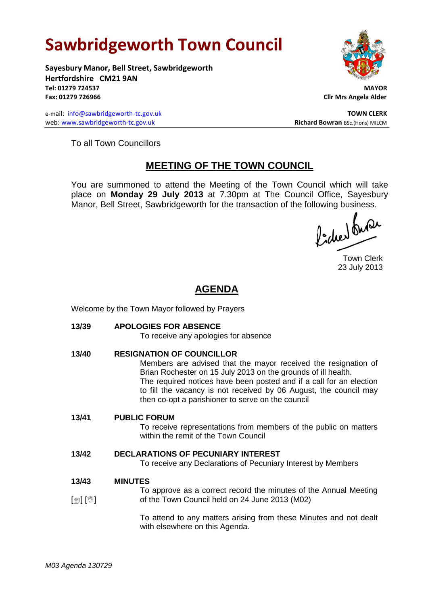## **Sawbridgeworth Town Council**

**Sayesbury Manor, Bell Street, Sawbridgeworth Hertfordshire CM21 9AN Tel: 01279 724537 MAYOR Fax: 01279 726966 Cllr Mrs Angela Alder**

e-mail: [info@sawbridgeworth-tc.gov.uk](mailto:info@sawbridgeworth-tc.gov.uk) **TOWN CLERK** web: www.sawbridgeworth-tc.gov.uk<br>
Richard Bowran BSc.(Hons) MILCM



To all Town Councillors

## **MEETING OF THE TOWN COUNCIL**

You are summoned to attend the Meeting of the Town Council which will take place on **Monday 29 July 2013** at 7.30pm at The Council Office, Sayesbury Manor, Bell Street, Sawbridgeworth for the transaction of the following business.<br>  $\Lambda$ ,  $\Lambda$ ,  $\Lambda$ ,  $\Omega$ 

Town Clerk 23 July 2013

## **AGENDA**

Welcome by the Town Mayor followed by Prayers

**13/39 APOLOGIES FOR ABSENCE** To receive any apologies for absence **13/40 RESIGNATION OF COUNCILLOR** Members are advised that the mayor received the resignation of Brian Rochester on 15 July 2013 on the grounds of ill health. The required notices have been posted and if a call for an election to fill the vacancy is not received by 06 August, the council may then co-opt a parishioner to serve on the council **13/41 PUBLIC FORUM** To receive representations from members of the public on matters within the remit of the Town Council **13/42 DECLARATIONS OF PECUNIARY INTEREST** To receive any Declarations of Pecuniary Interest by Members **13/43**  $\mathbb{I}$  [ $\mathbb{I}$ ] **MINUTES** To approve as a correct record the minutes of the Annual Meeting of the Town Council held on 24 June 2013 (M02)

> To attend to any matters arising from these Minutes and not dealt with elsewhere on this Agenda.